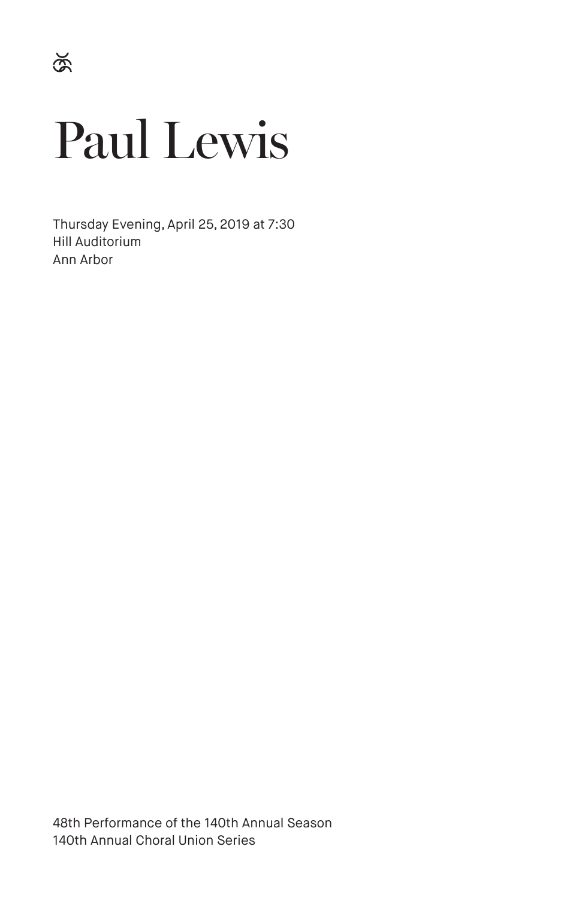# Paul Lewis

Thursday Evening, April 25, 2019 at 7:30 Hill Auditorium Ann Arbor

48th Performance of the 140th Annual Season 140th Annual Choral Union Series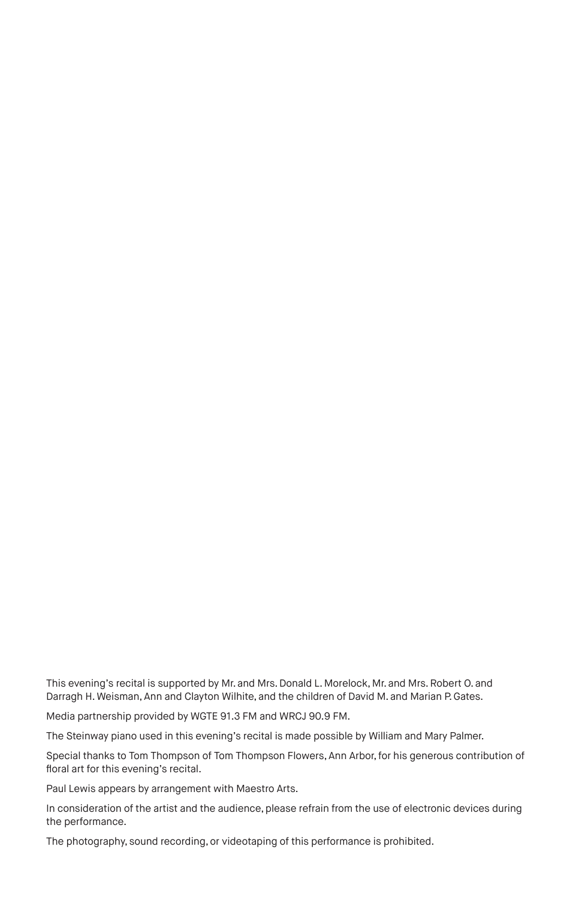This evening's recital is supported by Mr. and Mrs. Donald L. Morelock, Mr. and Mrs. Robert O. and Darragh H. Weisman, Ann and Clayton Wilhite, and the children of David M. and Marian P. Gates.

Media partnership provided by WGTE 91.3 FM and WRCJ 90.9 FM.

The Steinway piano used in this evening's recital is made possible by William and Mary Palmer.

Special thanks to Tom Thompson of Tom Thompson Flowers, Ann Arbor, for his generous contribution of floral art for this evening's recital.

Paul Lewis appears by arrangement with Maestro Arts.

In consideration of the artist and the audience, please refrain from the use of electronic devices during the performance.

The photography, sound recording, or videotaping of this performance is prohibited.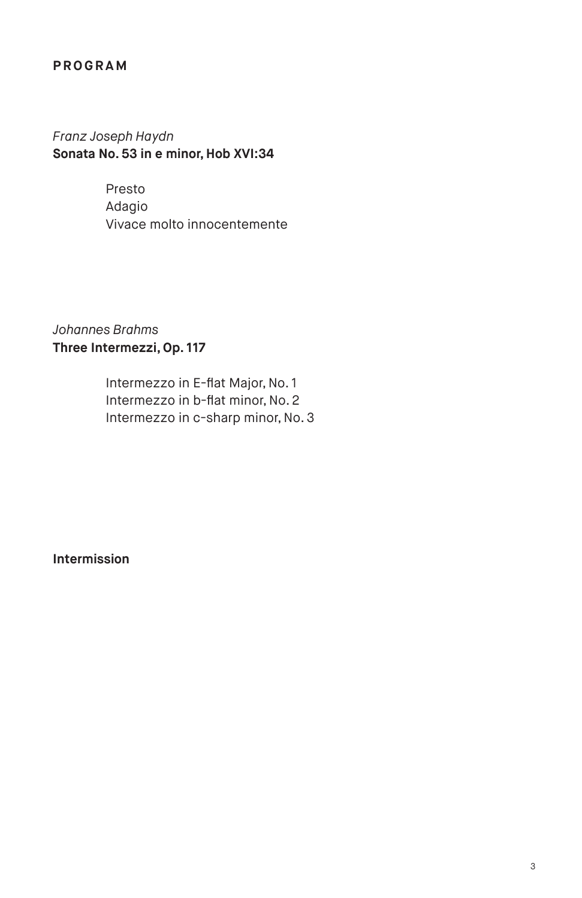#### **PROGRAM**

# *Franz Joseph Haydn* **Sonata No. 53 in e minor, Hob XVI:34**

Presto Adagio Vivace molto innocentemente

# *Johannes Brahms* **Three Intermezzi, Op. 117**

Intermezzo in E-flat Major, No. 1 Intermezzo in b-flat minor, No. 2 Intermezzo in c-sharp minor, No. 3

**Intermission**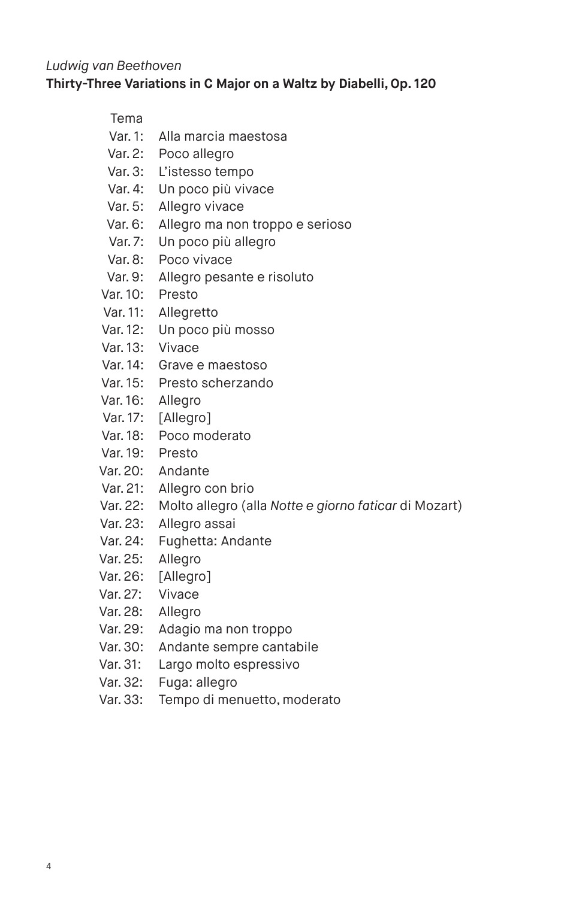#### *Ludwig van Beethoven* **Thirty-Three Variations in C Major on a Waltz by Diabelli, Op. 120**

#### Tema

- Var. 1: Alla marcia maestosa
- Var. 2: Poco allegro
- Var. 3: L'istesso tempo
- Var. 4: Un poco più vivace
- Var. 5: Allegro vivace
- Var. 6: Allegro ma non troppo e serioso
- Var. 7: Un poco più allegro
- Var. 8: Poco vivace
- Var. 9: Allegro pesante e risoluto
- Var. 10: Presto
- Var. 11: Allegretto
- Var. 12: Un poco più mosso
- Var. 13: Vivace
- Var. 14: Grave e maestoso
- Var. 15: Presto scherzando
- Var. 16: Allegro
- Var. 17: [Allegro]
- Var. 18: Poco moderato
- Var. 19: Presto
- Var. 20: Andante
- Var. 21: Allegro con brio
- Var. 22: Molto allegro (alla *Notte e giorno faticar* di Mozart)
- Var. 23: Allegro assai
- Var. 24: Fughetta: Andante
- Var. 25: Allegro
- Var. 26: [Allegro]
- Var. 27: Vivace
- Var. 28: Allegro
- Var. 29: Adagio ma non troppo
- Var. 30: Andante sempre cantabile
- Var. 31: Largo molto espressivo
- Var. 32: Fuga: allegro
- Var. 33: Tempo di menuetto, moderato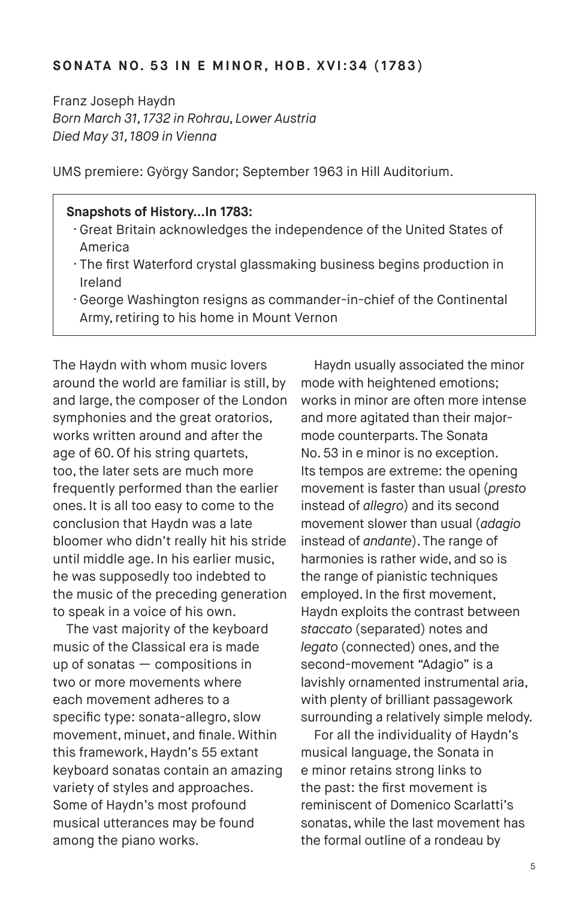#### **SONATA NO. 53 IN E MINOR, HOB. XVI:34 (1783)**

Franz Joseph Haydn *Born March 31, 1732 in Rohrau, Lower Austria Died May 31, 1809 in Vienna*

UMS premiere: György Sandor; September 1963 in Hill Auditorium.

#### **Snapshots of History…In 1783:**

- · Great Britain acknowledges the independence of the United States of America
- · The first Waterford crystal glassmaking business begins production in Ireland
- · George Washington resigns as commander-in-chief of the Continental Army, retiring to his home in Mount Vernon

The Haydn with whom music lovers around the world are familiar is still, by and large, the composer of the London symphonies and the great oratorios, works written around and after the age of 60. Of his string quartets, too, the later sets are much more frequently performed than the earlier ones. It is all too easy to come to the conclusion that Haydn was a late bloomer who didn't really hit his stride until middle age. In his earlier music, he was supposedly too indebted to the music of the preceding generation to speak in a voice of his own.

The vast majority of the keyboard music of the Classical era is made up of sonatas — compositions in two or more movements where each movement adheres to a specific type: sonata-allegro, slow movement, minuet, and finale. Within this framework, Haydn's 55 extant keyboard sonatas contain an amazing variety of styles and approaches. Some of Haydn's most profound musical utterances may be found among the piano works.

Haydn usually associated the minor mode with heightened emotions; works in minor are often more intense and more agitated than their majormode counterparts. The Sonata No. 53 in e minor is no exception. Its tempos are extreme: the opening movement is faster than usual (*presto* instead of *allegro*) and its second movement slower than usual (*adagio* instead of *andante*). The range of harmonies is rather wide, and so is the range of pianistic techniques employed. In the first movement, Haydn exploits the contrast between *staccato* (separated) notes and *legato* (connected) ones, and the second-movement "Adagio" is a lavishly ornamented instrumental aria, with plenty of brilliant passagework surrounding a relatively simple melody.

For all the individuality of Haydn's musical language, the Sonata in e minor retains strong links to the past: the first movement is reminiscent of Domenico Scarlatti's sonatas, while the last movement has the formal outline of a rondeau by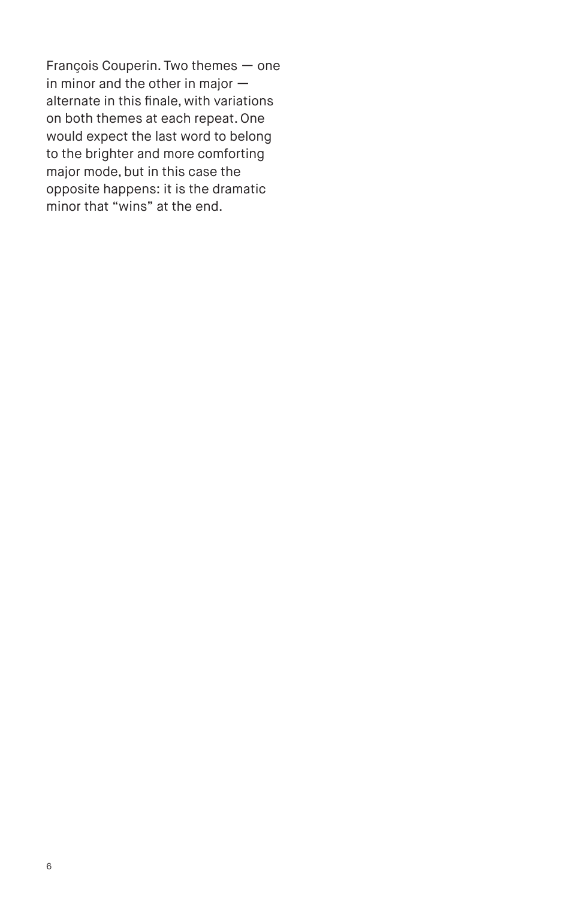François Couperin. Two themes — one in minor and the other in major alternate in this finale, with variations on both themes at each repeat. One would expect the last word to belong to the brighter and more comforting major mode, but in this case the opposite happens: it is the dramatic minor that "wins" at the end.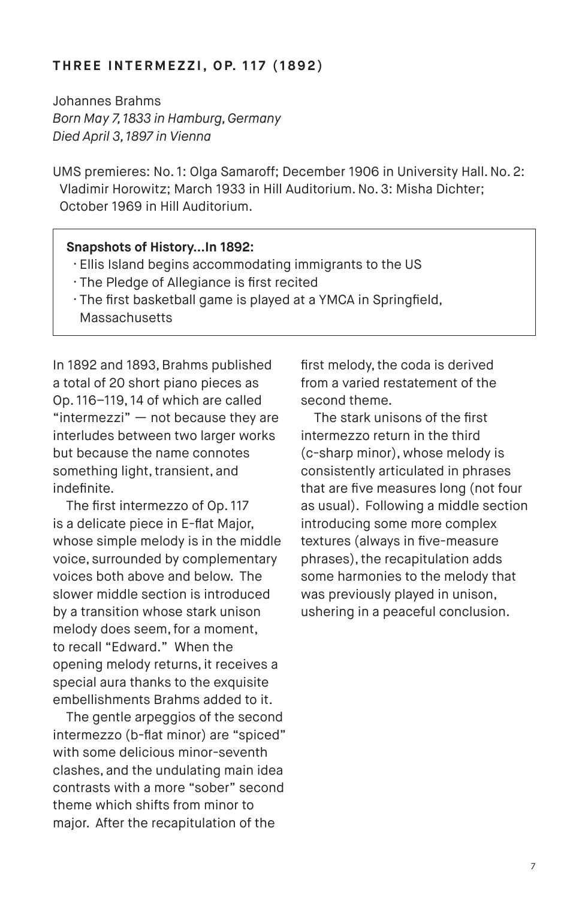#### **T H R E E I N T E R M E Z Z I , O P. 1 1 7 ( 1 8 9 2 )**

Johannes Brahms *Born May 7, 1833 in Hamburg, Germany Died April 3, 1897 in Vienna*

UMS premieres: No. 1: Olga Samaroff; December 1906 in University Hall. No. 2: Vladimir Horowitz; March 1933 in Hill Auditorium. No. 3: Misha Dichter; October 1969 in Hill Auditorium.

#### **Snapshots of History…In 1892:**

- · Ellis Island begins accommodating immigrants to the US
- · The Pledge of Allegiance is first recited
- · The first basketball game is played at a YMCA in Springfield, Massachusetts

In 1892 and 1893, Brahms published a total of 20 short piano pieces as Op. 116–119, 14 of which are called "intermezzi"  $-$  not because they are interludes between two larger works but because the name connotes something light, transient, and indefinite.

The first intermezzo of Op. 117 is a delicate piece in E-flat Major, whose simple melody is in the middle voice, surrounded by complementary voices both above and below. The slower middle section is introduced by a transition whose stark unison melody does seem, for a moment, to recall "Edward." When the opening melody returns, it receives a special aura thanks to the exquisite embellishments Brahms added to it.

The gentle arpeggios of the second intermezzo (b-flat minor) are "spiced" with some delicious minor-seventh clashes, and the undulating main idea contrasts with a more "sober" second theme which shifts from minor to major. After the recapitulation of the

first melody, the coda is derived from a varied restatement of the second theme.

The stark unisons of the first intermezzo return in the third (c-sharp minor), whose melody is consistently articulated in phrases that are five measures long (not four as usual). Following a middle section introducing some more complex textures (always in five-measure phrases), the recapitulation adds some harmonies to the melody that was previously played in unison, ushering in a peaceful conclusion.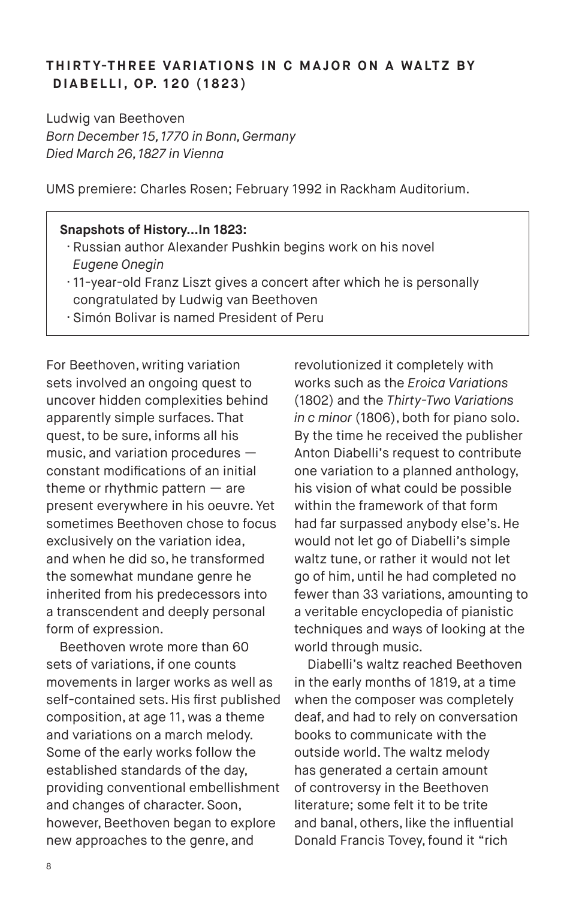### **THIRT Y-THREE VARIATIONS IN C MAJOR ON A WALTZ BY D I A B E L L I , O P. 1 2 0 ( 1 8 2 3 )**

Ludwig van Beethoven *Born December 15, 1770 in Bonn, Germany Died March 26, 1827 in Vienna*

UMS premiere: Charles Rosen; February 1992 in Rackham Auditorium.

#### **Snapshots of History…In 1823:**

- · Russian author Alexander Pushkin begins work on his novel *Eugene Onegin*
- · 11-year-old Franz Liszt gives a concert after which he is personally congratulated by Ludwig van Beethoven
- · Simón Bolivar is named President of Peru

For Beethoven, writing variation sets involved an ongoing quest to uncover hidden complexities behind apparently simple surfaces. That quest, to be sure, informs all his music, and variation procedures constant modifications of an initial theme or rhythmic pattern — are present everywhere in his oeuvre. Yet sometimes Beethoven chose to focus exclusively on the variation idea, and when he did so, he transformed the somewhat mundane genre he inherited from his predecessors into a transcendent and deeply personal form of expression.

Beethoven wrote more than 60 sets of variations, if one counts movements in larger works as well as self-contained sets. His first published composition, at age 11, was a theme and variations on a march melody. Some of the early works follow the established standards of the day, providing conventional embellishment and changes of character. Soon, however, Beethoven began to explore new approaches to the genre, and

revolutionized it completely with works such as the *Eroica Variations*  (1802) and the *Thirty-Two Variations in c minor* (1806), both for piano solo. By the time he received the publisher Anton Diabelli's request to contribute one variation to a planned anthology, his vision of what could be possible within the framework of that form had far surpassed anybody else's. He would not let go of Diabelli's simple waltz tune, or rather it would not let go of him, until he had completed no fewer than 33 variations, amounting to a veritable encyclopedia of pianistic techniques and ways of looking at the world through music.

Diabelli's waltz reached Beethoven in the early months of 1819, at a time when the composer was completely deaf, and had to rely on conversation books to communicate with the outside world. The waltz melody has generated a certain amount of controversy in the Beethoven literature; some felt it to be trite and banal, others, like the influential Donald Francis Tovey, found it "rich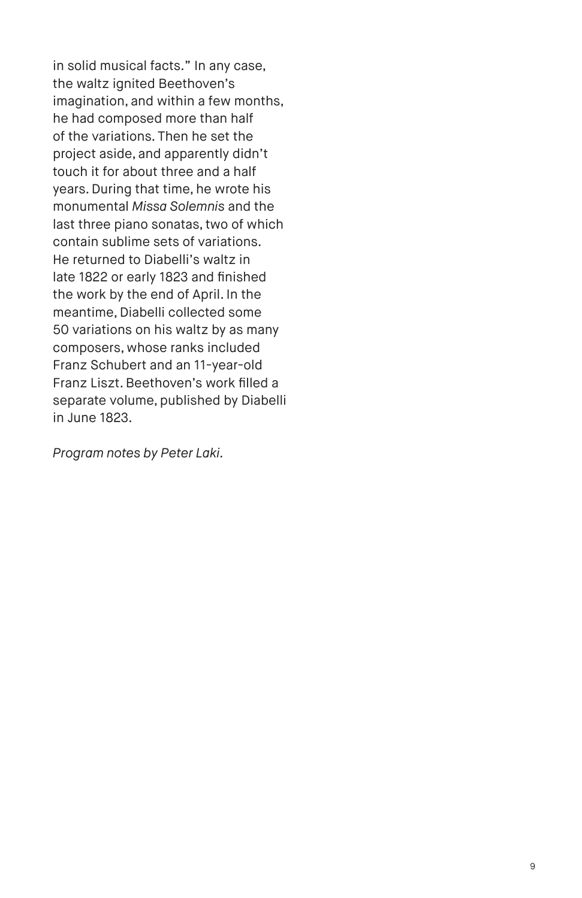in solid musical facts." In any case, the waltz ignited Beethoven's imagination, and within a few months, he had composed more than half of the variations. Then he set the project aside, and apparently didn't touch it for about three and a half years. During that time, he wrote his monumental *Missa Solemnis* and the last three piano sonatas, two of which contain sublime sets of variations. He returned to Diabelli's waltz in late 1822 or early 1823 and finished the work by the end of April. In the meantime, Diabelli collected some 50 variations on his waltz by as many composers, whose ranks included Franz Schubert and an 11-year-old Franz Liszt. Beethoven's work filled a separate volume, published by Diabelli in June 1823.

*Program notes by Peter Laki.*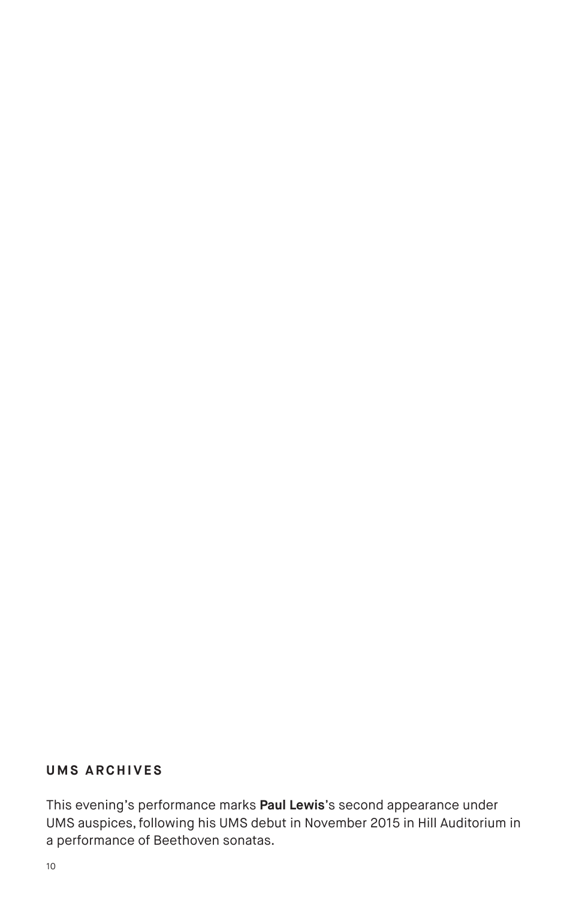# **UMS ARCHIVES**

This evening's performance marks **Paul Lewis**'s second appearance under UMS auspices, following his UMS debut in November 2015 in Hill Auditorium in a performance of Beethoven sonatas.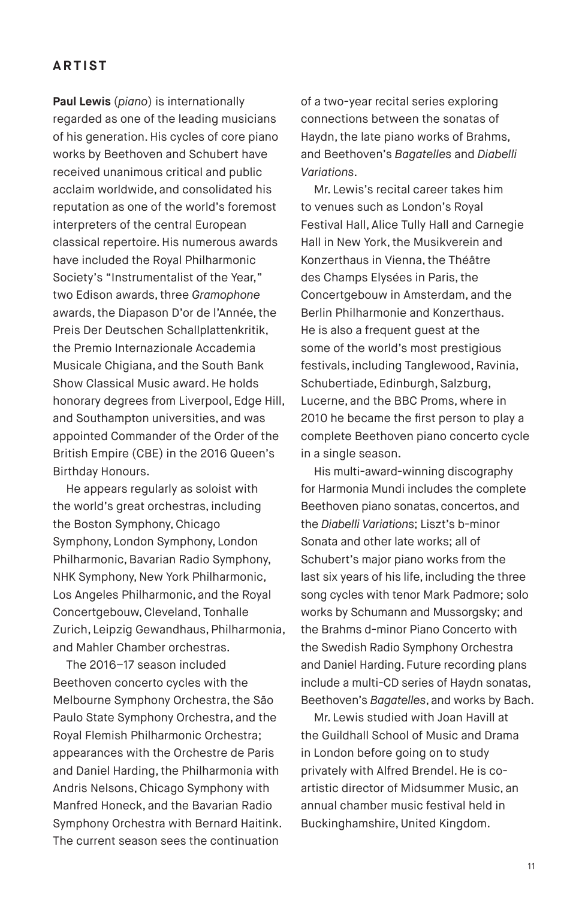#### **ARTIST**

**Paul Lewis** (*piano*) is internationally regarded as one of the leading musicians of his generation. His cycles of core piano works by Beethoven and Schubert have received unanimous critical and public acclaim worldwide, and consolidated his reputation as one of the world's foremost interpreters of the central European classical repertoire. His numerous awards have included the Royal Philharmonic Society's "Instrumentalist of the Year," two Edison awards, three *Gramophone* awards, the Diapason D'or de l'Année, the Preis Der Deutschen Schallplattenkritik, the Premio Internazionale Accademia Musicale Chigiana, and the South Bank Show Classical Music award. He holds honorary degrees from Liverpool, Edge Hill, and Southampton universities, and was appointed Commander of the Order of the British Empire (CBE) in the 2016 Queen's Birthday Honours.

He appears regularly as soloist with the world's great orchestras, including the Boston Symphony, Chicago Symphony, London Symphony, London Philharmonic, Bavarian Radio Symphony, NHK Symphony, New York Philharmonic, Los Angeles Philharmonic, and the Royal Concertgebouw, Cleveland, Tonhalle Zurich, Leipzig Gewandhaus, Philharmonia, and Mahler Chamber orchestras.

The 2016–17 season included Beethoven concerto cycles with the Melbourne Symphony Orchestra, the São Paulo State Symphony Orchestra, and the Royal Flemish Philharmonic Orchestra; appearances with the Orchestre de Paris and Daniel Harding, the Philharmonia with Andris Nelsons, Chicago Symphony with Manfred Honeck, and the Bavarian Radio Symphony Orchestra with Bernard Haitink. The current season sees the continuation

of a two-year recital series exploring connections between the sonatas of Haydn, the late piano works of Brahms, and Beethoven's *Bagatelles* and *Diabelli Variations*.

Mr. Lewis's recital career takes him to venues such as London's Royal Festival Hall, Alice Tully Hall and Carnegie Hall in New York, the Musikverein and Konzerthaus in Vienna, the Théâtre des Champs Elysées in Paris, the Concertgebouw in Amsterdam, and the Berlin Philharmonie and Konzerthaus. He is also a frequent guest at the some of the world's most prestigious festivals, including Tanglewood, Ravinia, Schubertiade, Edinburgh, Salzburg, Lucerne, and the BBC Proms, where in 2010 he became the first person to play a complete Beethoven piano concerto cycle in a single season.

His multi-award-winning discography for Harmonia Mundi includes the complete Beethoven piano sonatas, concertos, and the *Diabelli Variations*; Liszt's b-minor Sonata and other late works; all of Schubert's major piano works from the last six years of his life, including the three song cycles with tenor Mark Padmore; solo works by Schumann and Mussorgsky; and the Brahms d-minor Piano Concerto with the Swedish Radio Symphony Orchestra and Daniel Harding. Future recording plans include a multi-CD series of Haydn sonatas, Beethoven's *Bagatelles*, and works by Bach.

Mr. Lewis studied with Joan Havill at the Guildhall School of Music and Drama in London before going on to study privately with Alfred Brendel. He is coartistic director of Midsummer Music, an annual chamber music festival held in Buckinghamshire, United Kingdom.